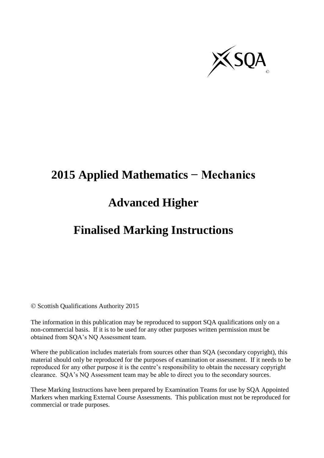

# **2015 Applied Mathematics − Mechanics**

## **Advanced Higher**

## **Finalised Marking Instructions**

© Scottish Qualifications Authority 2015

The information in this publication may be reproduced to support SQA qualifications only on a non-commercial basis. If it is to be used for any other purposes written permission must be obtained from SQA's NQ Assessment team.

Where the publication includes materials from sources other than SQA (secondary copyright), this material should only be reproduced for the purposes of examination or assessment. If it needs to be reproduced for any other purpose it is the centre's responsibility to obtain the necessary copyright clearance. SQA's NQ Assessment team may be able to direct you to the secondary sources.

These Marking Instructions have been prepared by Examination Teams for use by SQA Appointed Markers when marking External Course Assessments. This publication must not be reproduced for commercial or trade purposes.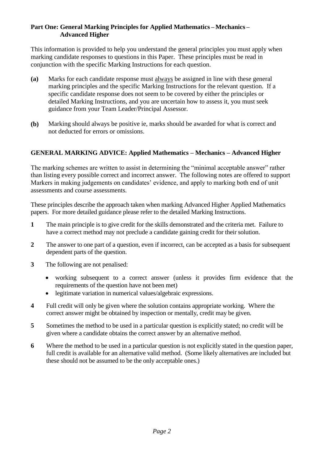#### **Part One: General Marking Principles for Applied Mathematics – Mechanics – Advanced Higher**

This information is provided to help you understand the general principles you must apply when marking candidate responses to questions in this Paper. These principles must be read in conjunction with the specific Marking Instructions for each question.

- **(a)** Marks for each candidate response must always be assigned in line with these general marking principles and the specific Marking Instructions for the relevant question. If a specific candidate response does not seem to be covered by either the principles or detailed Marking Instructions, and you are uncertain how to assess it, you must seek guidance from your Team Leader/Principal Assessor.
- **(b)** Marking should always be positive ie, marks should be awarded for what is correct and not deducted for errors or omissions.

#### **GENERAL MARKING ADVICE: Applied Mathematics – Mechanics – Advanced Higher**

The marking schemes are written to assist in determining the "minimal acceptable answer" rather than listing every possible correct and incorrect answer. The following notes are offered to support Markers in making judgements on candidates' evidence, and apply to marking both end of unit assessments and course assessments.

These principles describe the approach taken when marking Advanced Higher Applied Mathematics papers. For more detailed guidance please refer to the detailed Marking Instructions.

- **1** The main principle is to give credit for the skills demonstrated and the criteria met. Failure to have a correct method may not preclude a candidate gaining credit for their solution.
- **2** The answer to one part of a question, even if incorrect, can be accepted as a basis for subsequent dependent parts of the question.
- **3** The following are not penalised:
	- working subsequent to a correct answer (unless it provides firm evidence that the requirements of the question have not been met)
	- legitimate variation in numerical values/algebraic expressions.
- **4** Full credit will only be given where the solution contains appropriate working. Where the correct answer might be obtained by inspection or mentally, credit may be given.
- **5** Sometimes the method to be used in a particular question is explicitly stated; no credit will be given where a candidate obtains the correct answer by an alternative method.
- **6** Where the method to be used in a particular question is not explicitly stated in the question paper, full credit is available for an alternative valid method. (Some likely alternatives are included but these should not be assumed to be the only acceptable ones.)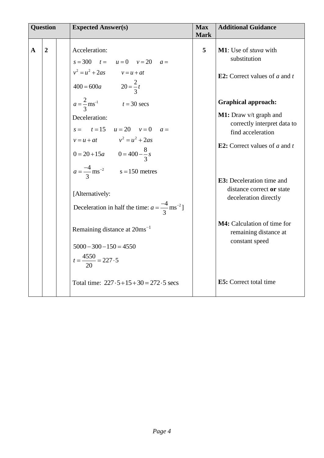|              | <b>Question</b> | <b>Expected Answer(s)</b>                                                                                                                                                                                                                                                                                                                                                            | <b>Max</b><br><b>Mark</b> | <b>Additional Guidance</b>                                                                                                                                                                                                                                                                                               |
|--------------|-----------------|--------------------------------------------------------------------------------------------------------------------------------------------------------------------------------------------------------------------------------------------------------------------------------------------------------------------------------------------------------------------------------------|---------------------------|--------------------------------------------------------------------------------------------------------------------------------------------------------------------------------------------------------------------------------------------------------------------------------------------------------------------------|
| $\mathbf{A}$ | $\overline{2}$  | Acceleration:<br>$s = 300$ $t = u = 0$ $v = 20$ $a =$<br>$v^2 = u^2 + 2as$ $v = u + at$<br>$400 = 600a$ $20 = \frac{2}{3}t$                                                                                                                                                                                                                                                          | $5\overline{)}$           | M1: Use of <i>stuva</i> with<br>substitution<br><b>E2:</b> Correct values of $a$ and $t$                                                                                                                                                                                                                                 |
|              |                 | $a = \frac{2}{3}$ ms <sup>-1</sup> $t = 30$ secs<br>Deceleration:<br>$s =$ $t = 15$ $u = 20$ $v = 0$ $a =$<br>$v = u + at$ $v^2 = u^2 + 2as$<br>$0 = 20 + 15a$ $0 = 400 - \frac{8}{3}s$<br>$a = \frac{-4}{3}$ ms <sup>-2</sup> s = 150 metres<br>[Alternatively:<br>Deceleration in half the time: $a = \frac{-4}{3}$ ms <sup>-2</sup> ]<br>Remaining distance at 20ms <sup>-1</sup> |                           | <b>Graphical approach:</b><br>M1: Draw v/t graph and<br>correctly interpret data to<br>find acceleration<br><b>E2:</b> Correct values of $a$ and $t$<br><b>E3:</b> Deceleration time and<br>distance correct or state<br>deceleration directly<br>M4: Calculation of time for<br>remaining distance at<br>constant speed |
|              |                 | $5000 - 300 - 150 = 4550$<br>$t = \frac{4550}{20} = 227.5$<br>Total time: $227 \cdot 5 + 15 + 30 = 272 \cdot 5$ secs                                                                                                                                                                                                                                                                 |                           | <b>E5</b> : Correct total time                                                                                                                                                                                                                                                                                           |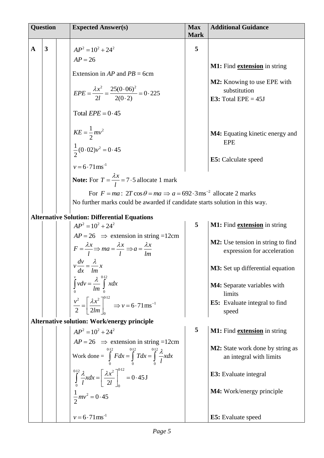| <b>Question</b>                         |  | <b>Expected Answer(s)</b>                                                                                                                                                                                                                                                                                                                                                                                                                                                                                                                                                                                                                                                                                                                                                                                                                                                                                                                                                                                                                                                                                       | <b>Max</b>                 | <b>Additional Guidance</b>                                                                                                                                                                                                                                                                                                                                                                                                                                                                                                                              |
|-----------------------------------------|--|-----------------------------------------------------------------------------------------------------------------------------------------------------------------------------------------------------------------------------------------------------------------------------------------------------------------------------------------------------------------------------------------------------------------------------------------------------------------------------------------------------------------------------------------------------------------------------------------------------------------------------------------------------------------------------------------------------------------------------------------------------------------------------------------------------------------------------------------------------------------------------------------------------------------------------------------------------------------------------------------------------------------------------------------------------------------------------------------------------------------|----------------------------|---------------------------------------------------------------------------------------------------------------------------------------------------------------------------------------------------------------------------------------------------------------------------------------------------------------------------------------------------------------------------------------------------------------------------------------------------------------------------------------------------------------------------------------------------------|
| $\overline{\mathbf{3}}$<br>$\mathbf{A}$ |  | $AP^2 = 10^2 + 24^2$<br>$AP = 26$<br>Extension in $AP$ and $PB = 6$ cm<br>$EPE = \frac{\lambda x^2}{2l} = \frac{25(0.06)^2}{2(0.2)} = 0.225$<br>Total $EPE = 0.45$<br>$KE = \frac{1}{2}mv^2$<br>$\frac{1}{2}(0.02)v^2 = 0.45$<br>$v = 6.71$ ms <sup>-1</sup><br><b>Note:</b> For $T = \frac{\lambda x}{l} = 7.5$ allocate 1 mark<br>For $F = ma$ : $2T \cos \theta = ma \implies a = 692.3 \text{ ms}^{-2}$ allocate 2 marks<br>No further marks could be awarded if candidate starts solution in this way.<br><b>Alternative Solution: Differential Equations</b><br>$AP^2 = 10^2 + 24^2$<br>$AP = 26$ $\Rightarrow$ extension in string = 12cm<br>$F = \frac{\lambda x}{l} \Rightarrow ma = \frac{\lambda x}{l} \Rightarrow a = \frac{\lambda x}{lm}$<br>$v \frac{dv}{dx} = \frac{\lambda}{lm} x$<br>$\int_{0}^{v} v dv = \frac{\lambda}{lm} \int_{0}^{0.12} x dx$<br>$\frac{v^2}{2} = \left[\frac{\lambda x^2}{2lm}\right]_0^{0.12} \Rightarrow v = 6.71 \text{ ms}^{-1}$<br><b>Alternative solution: Work/energy principle</b><br>$AP^2 = 10^2 + 24^2$<br>$AP = 26$ $\Rightarrow$ extension in string =12cm | <b>Mark</b><br>5<br>5<br>5 | M1: Find <b>extension</b> in string<br>M2: Knowing to use EPE with<br>substitution<br>E3: Total $EPE = 45J$<br><b>M4:</b> Equating kinetic energy and<br><b>EPE</b><br>E5: Calculate speed<br>M1: Find <b>extension</b> in string<br>M2: Use tension in string to find<br>expression for acceleration<br><b>M3:</b> Set up differential equation<br>M4: Separate variables with<br>limits<br><b>E5:</b> Evaluate integral to find<br>speed<br>M1: Find <b>extension</b> in string<br><b>M2:</b> State work done by string as<br>an integral with limits |
|                                         |  | Work done = $\int_{0}^{0.12} F dx = \int_{0}^{0.12} T dx = \int_{0}^{0.12} \frac{\lambda}{l} x dx$<br>$\int_{0}^{0.12} \frac{\lambda}{l} x dx = \left[ \frac{\lambda x^2}{2l} \right]_{0}^{0.12} = 0.45 \text{ J}$<br>$\frac{1}{2} m v^2 = 0.45$<br>$v = 6.71$ ms <sup>-1</sup>                                                                                                                                                                                                                                                                                                                                                                                                                                                                                                                                                                                                                                                                                                                                                                                                                                 |                            | E3: Evaluate integral<br><b>M4:</b> Work/energy principle<br><b>E5:</b> Evaluate speed                                                                                                                                                                                                                                                                                                                                                                                                                                                                  |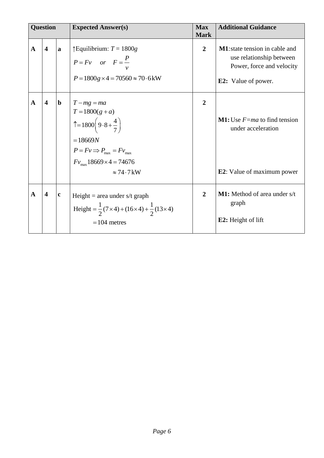| <b>Question</b> |                         |              | <b>Max</b><br><b>Expected Answer(s)</b><br><b>Mark</b>                                                                                                                                                                       |                | <b>Additional Guidance</b>                                                                                                    |  |
|-----------------|-------------------------|--------------|------------------------------------------------------------------------------------------------------------------------------------------------------------------------------------------------------------------------------|----------------|-------------------------------------------------------------------------------------------------------------------------------|--|
| $\mathbf{A}$    | $\overline{\mathbf{4}}$ | $\mathbf{a}$ | $\uparrow$ Equilibrium: $T = 1800g$<br>$P = Fv$ or $F = \frac{P}{v}$<br>$P = 1800g \times 4 = 70560 \approx 70.6$ kW                                                                                                         | $\overline{2}$ | <b>M1</b> : state tension in cable and<br>use relationship between<br>Power, force and velocity<br><b>E2:</b> Value of power. |  |
| $\mathbf{A}$    | $\overline{\mathbf{4}}$ | $\mathbf b$  | $T - mg = ma$<br>$T = 1800(g + a)$<br>$\uparrow$ = 1800 $\left(9.8 + \frac{4}{7}\right)$<br>$=18669N$<br>$P = Fv \Longrightarrow P_{\text{max}} = Fv_{\text{max}}$<br>$Fv_{\text{max}}$ 18669×4 = 74676<br>$\approx 74.7$ kW | $\overline{2}$ | <b>M1:</b> Use $F=ma$ to find tension<br>under acceleration<br><b>E2</b> : Value of maximum power                             |  |
| $\mathbf{A}$    | $\overline{\mathbf{4}}$ | $\mathbf c$  | Height = area under $s/t$ graph<br>Height = $\frac{1}{2}(7 \times 4) + (16 \times 4) + \frac{1}{2}(13 \times 4)$<br>$= 104$ metres                                                                                           | $\overline{2}$ | <b>M1:</b> Method of area under s/t<br>graph<br><b>E2:</b> Height of lift                                                     |  |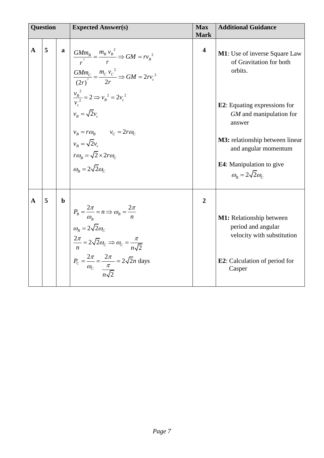| <b>Question</b> |              |   |             | <b>Expected Answer(s)</b><br><b>Max</b><br><b>Mark</b>                                                                                                                                                                                                                                                                             |                         | <b>Additional Guidance</b>                                                                                                                       |  |
|-----------------|--------------|---|-------------|------------------------------------------------------------------------------------------------------------------------------------------------------------------------------------------------------------------------------------------------------------------------------------------------------------------------------------|-------------------------|--------------------------------------------------------------------------------------------------------------------------------------------------|--|
|                 | $\mathbf{A}$ | 5 |             | $\frac{GMm_B}{r^2} = \frac{m_B v_B^2}{r} \Rightarrow GM = rv_B^2$<br>$\frac{GMm_c}{(2r)^2} = \frac{m_c v_c^2}{2r} \Rightarrow GM = 2rv_c^2$                                                                                                                                                                                        | $\overline{\mathbf{4}}$ | M1: Use of inverse Square Law<br>of Gravitation for both<br>orbits.                                                                              |  |
|                 |              |   |             | $\frac{v_B^2}{v^2} = 2 \Longrightarrow v_B^2 = 2v_c^2$<br>$v_{\scriptscriptstyle R} = \sqrt{2}v_{\scriptscriptstyle C}$                                                                                                                                                                                                            |                         | <b>E2</b> : Equating expressions for<br>GM and manipulation for<br>answer                                                                        |  |
|                 |              |   |             | $v_B = r\omega_B$ $v_C = 2r\omega_C$<br>$v_B = \sqrt{2}v_c$<br>$r\omega_{B} = \sqrt{2} \times 2r\omega_{C}$<br>$\omega_{\scriptscriptstyle R} = 2\sqrt{2}\omega_{\scriptscriptstyle C}$                                                                                                                                            |                         | <b>M3:</b> relationship between linear<br>and angular momentum<br><b>E4</b> : Manipulation to give<br>$\omega_{\rm B} = 2\sqrt{2}\omega_{\rm C}$ |  |
|                 | $\mathbf{A}$ | 5 | $\mathbf b$ | $P_B = \frac{2\pi}{\omega_B} = n \Rightarrow \omega_B = \frac{2\pi}{n}$<br>$\omega_{\scriptscriptstyle R} = 2\sqrt{2}\omega_{\scriptscriptstyle C}$<br>$\frac{2\pi}{n} = 2\sqrt{2}\omega_c \Rightarrow \omega_c = \frac{\pi}{n\sqrt{2}}$<br>$P_c = \frac{2\pi}{\omega_c} = \frac{2\pi}{\frac{\pi}{n_s\sqrt{2}}} = 2\sqrt{2}n$ days | $\overline{2}$          | M1: Relationship between<br>period and angular<br>velocity with substitution<br><b>E2</b> : Calculation of period for<br>Casper                  |  |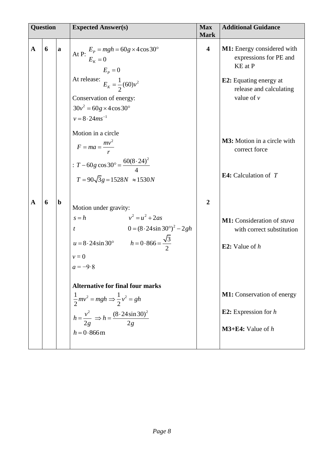| <b>Question</b> |   |             | <b>Expected Answer(s)</b>                                                                                                                                                                                                                          | <b>Max</b><br><b>Mark</b> | <b>Additional Guidance</b>                                                                                                                    |
|-----------------|---|-------------|----------------------------------------------------------------------------------------------------------------------------------------------------------------------------------------------------------------------------------------------------|---------------------------|-----------------------------------------------------------------------------------------------------------------------------------------------|
| $\mathbf{A}$    | 6 | a           | At P: $E_p = mgh = 60g \times 4 \cos 30^\circ$<br>$E_K = 0$<br>$E_p = 0$<br>At release: $E_K = \frac{1}{2}(60)v^2$<br>Conservation of energy:<br>$30v^2 = 60g \times 4\cos 30^\circ$<br>$v = 8.24$ ms <sup>-1</sup>                                | $\overline{\mathbf{4}}$   | M1: Energy considered with<br>expressions for PE and<br>KE at P<br><b>E2:</b> Equating energy at<br>release and calculating<br>value of $\nu$ |
|                 |   |             | Motion in a circle<br>$F = ma = \frac{mv^2}{r}$<br>: $T - 60g \cos 30^\circ = \frac{60(8.24)^2}{4}$<br>$T = 90\sqrt{3}g = 1528N \approx 1530N$                                                                                                     |                           | <b>M3:</b> Motion in a circle with<br>correct force<br><b>E4:</b> Calculation of $T$                                                          |
| A               | 6 | $\mathbf b$ | Motion under gravity:<br>$v^2 = u^2 + 2as$<br>$s = h$<br>$0 = (8.24 \sin 30^\circ)^2 - 2gh$<br>$\boldsymbol{t}$<br>$u = 8.24 \sin 30^{\circ}$ $h = 0.866 = \frac{\sqrt{3}}{2}$<br>$v = 0$<br>$a = -9.8$<br><b>Alternative for final four marks</b> | $\overline{2}$            | M1: Consideration of stuva<br>with correct substitution<br><b>E2:</b> Value of $h$                                                            |
|                 |   |             | $\frac{1}{2}mv^2 = mgh \Rightarrow \frac{1}{2}v^2 = gh$<br>$h = \frac{v^2}{2g}$ $\Rightarrow h = \frac{(8.24 \sin 30)^2}{2g}$<br>$h = 0.866$ m                                                                                                     |                           | <b>M1:</b> Conservation of energy<br><b>E2:</b> Expression for $h$<br>$M3+E4$ : Value of h                                                    |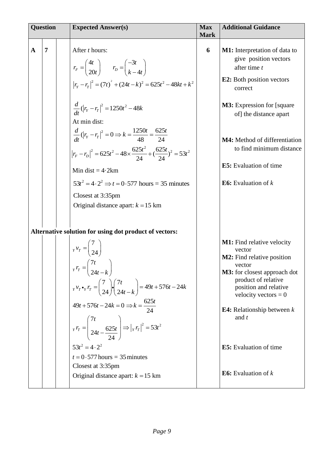| <b>Question</b> |                | <b>Expected Answer(s)</b>                                                                                                                                                                                                                                                                                                                                                                                                                                                                                                     | <b>Max</b><br><b>Mark</b> | <b>Additional Guidance</b>                                                                                                                                                                                                                                                                      |  |
|-----------------|----------------|-------------------------------------------------------------------------------------------------------------------------------------------------------------------------------------------------------------------------------------------------------------------------------------------------------------------------------------------------------------------------------------------------------------------------------------------------------------------------------------------------------------------------------|---------------------------|-------------------------------------------------------------------------------------------------------------------------------------------------------------------------------------------------------------------------------------------------------------------------------------------------|--|
| $\mathbf A$     | $\overline{7}$ | After <i>t</i> hours:<br>$r_F = \begin{pmatrix} 4t \\ 20t \end{pmatrix}$ $r_D = \begin{pmatrix} -3t \\ k-4t \end{pmatrix}$                                                                                                                                                                                                                                                                                                                                                                                                    | 6                         | <b>M1:</b> Interpretation of data to<br>give position vectors<br>after time t                                                                                                                                                                                                                   |  |
|                 |                | $ r_r - r_r ^2 = (7t)^2 + (24t - k)^2 = 625t^2 - 48kt + k^2$                                                                                                                                                                                                                                                                                                                                                                                                                                                                  |                           | <b>E2:</b> Both position vectors<br>correct                                                                                                                                                                                                                                                     |  |
|                 |                | $\frac{d}{dt}$ $(\left r_{Y}-r_{T}\right ^{2}=1250t^{2}-48k)$<br>At min dist:                                                                                                                                                                                                                                                                                                                                                                                                                                                 |                           | <b>M3:</b> Expression for [square]<br>of] the distance apart                                                                                                                                                                                                                                    |  |
|                 |                | $rac{d}{dt}$ $(\left r_r - r_r\right ^2 = 0 \Rightarrow k = \frac{1250t}{48} = \frac{625t}{24}$<br>$\left  r_F - r_D \right ^2 = 625t^2 - 48 \times \frac{625t^2}{24} + \left( \frac{625t}{24} \right)^2 = 53t^2$                                                                                                                                                                                                                                                                                                             |                           | M4: Method of differentiation<br>to find minimum distance                                                                                                                                                                                                                                       |  |
|                 |                | Min dist = $4.2km$                                                                                                                                                                                                                                                                                                                                                                                                                                                                                                            |                           | <b>E5:</b> Evaluation of time                                                                                                                                                                                                                                                                   |  |
|                 |                | $53t^2 = 4 \cdot 2^2 \implies t = 0.577$ hours = 35 minutes<br>Closest at 3:35pm                                                                                                                                                                                                                                                                                                                                                                                                                                              |                           | <b>E6:</b> Evaluation of $k$                                                                                                                                                                                                                                                                    |  |
|                 |                | Original distance apart: $k = 15$ km                                                                                                                                                                                                                                                                                                                                                                                                                                                                                          |                           |                                                                                                                                                                                                                                                                                                 |  |
|                 |                | Alternative solution for using dot product of vectors:<br>$\begin{pmatrix} 7 \\ x \end{pmatrix}$ $v_T = \begin{pmatrix} 7 \\ 24 \end{pmatrix}$<br>$r_r = \begin{pmatrix} 7t \\ 24t - k \end{pmatrix}$<br>$V_r V_r \cdot r_T = \begin{pmatrix} 7 \\ 24 \end{pmatrix} \cdot \begin{pmatrix} 7t \\ 24t - k \end{pmatrix} = 49t + 576t - 24k$<br>$49t + 576t - 24k = 0 \Rightarrow k = \frac{625t}{24}$<br>$r_r r_T = \left(\frac{7t}{24t - \frac{625t}{24}}\right) \Longrightarrow  r_r r_T ^2 = 53t^2$<br>$53t^2 = 4 \cdot 2^2$ |                           | <b>M1:</b> Find relative velocity<br>vector<br><b>M2:</b> Find relative position<br>vector<br><b>M3:</b> for closest approach dot<br>product of relative<br>position and relative<br>velocity vectors = $0$<br><b>E4:</b> Relationship between $k$<br>and $t$<br><b>E5</b> : Evaluation of time |  |
|                 |                | $t = 0.577$ hours = 35 minutes                                                                                                                                                                                                                                                                                                                                                                                                                                                                                                |                           |                                                                                                                                                                                                                                                                                                 |  |
|                 |                | Closest at 3:35pm<br>Original distance apart: $k = 15$ km                                                                                                                                                                                                                                                                                                                                                                                                                                                                     |                           | <b>E6:</b> Evaluation of $k$                                                                                                                                                                                                                                                                    |  |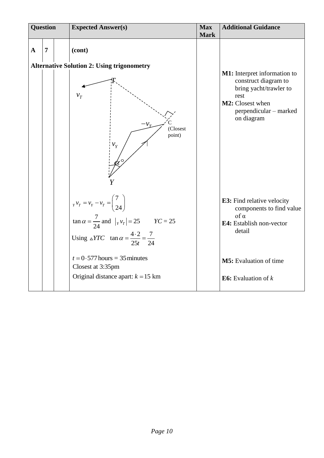| <b>Question</b> |                | <b>Expected Answer(s)</b><br><b>Max</b>                                                                                                                                                                    |             | <b>Additional Guidance</b>                                                                                                           |
|-----------------|----------------|------------------------------------------------------------------------------------------------------------------------------------------------------------------------------------------------------------|-------------|--------------------------------------------------------------------------------------------------------------------------------------|
| $\mathbf{A}$    | $\overline{7}$ | (cont)<br><b>Alternative Solution 2: Using trigonometry</b><br>$v_T$                                                                                                                                       | <b>Mark</b> | M1: Interpret information to<br>construct diagram to<br>bring yacht/trawler to<br>rest<br>M2: Closest when<br>perpendicular - marked |
|                 |                | (Closest<br>point)<br>$v_{Y}$                                                                                                                                                                              |             | on diagram                                                                                                                           |
|                 |                | $v_Y v_T = v_Y - v_T = \begin{pmatrix} 7 \\ 24 \end{pmatrix}$<br>$\tan \alpha = \frac{7}{24}$ and $ _Y v_T   = 25$ $Y C = 25$<br>Using $\triangle YTC$ tan $\alpha = \frac{4 \cdot 2}{25t} = \frac{7}{24}$ |             | <b>E3:</b> Find relative velocity<br>components to find value<br>$\int_0^{\infty}$<br>E4: Establish non-vector<br>detail             |
|                 |                | $t = 0.577$ hours = 35 minutes<br>Closest at 3:35pm                                                                                                                                                        |             | M5: Evaluation of time                                                                                                               |
|                 |                | Original distance apart: $k = 15$ km                                                                                                                                                                       |             | <b>E6:</b> Evaluation of $k$                                                                                                         |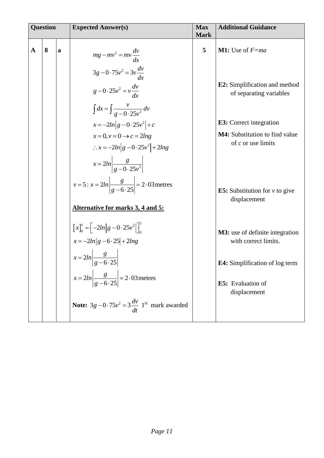| <b>Question</b> |   |             | <b>Expected Answer(s)</b>                                                                              | <b>Max</b><br><b>Mark</b> | <b>Additional Guidance</b>                                      |
|-----------------|---|-------------|--------------------------------------------------------------------------------------------------------|---------------------------|-----------------------------------------------------------------|
| $\mathbf A$     | 8 | $\mathbf a$ | $mg - mv^2 = mv \frac{dv}{dx}$                                                                         | 5                         | <b>M1:</b> Use of $F$ =ma                                       |
|                 |   |             | $3g-0.75v^2=3v\frac{dv}{dx}$<br>$g-0.25v^2=v\frac{dv}{dx}$<br>$\int dx = \int \frac{v}{g(0.25v^2)} dv$ |                           | <b>E2:</b> Simplification and method<br>of separating variables |
|                 |   |             | $x = -2ln g - 0.25v^2  + c$                                                                            |                           | <b>E3</b> : Correct integration                                 |
|                 |   |             | $x=0, v=0 \rightarrow c=2ln g$<br>$\therefore x = -2ln g - 0.25v^2  + 2lng$                            |                           | <b>M4:</b> Substitution to find value<br>of $c$ or use limits   |
|                 |   |             | $x = 2ln \left  \frac{g}{g - 0.25v^2} \right $                                                         |                           |                                                                 |
|                 |   |             | $v = 5: x = 2ln \left  \frac{g}{g - 6.25} \right  = 2.03$ metres                                       |                           | <b>E5:</b> Substitution for $v$ to give<br>displacement         |
|                 |   |             | Alternative for marks 3, 4 and 5:                                                                      |                           |                                                                 |
|                 |   |             | $[x]_0^x = \left[-2ln g - 0.25v^2 \right]_0^5$<br>$x = -2ln g - 6 \cdot 25  + 2lng$                    |                           | <b>M3:</b> use of definite integration<br>with correct limits.  |
|                 |   |             | $x = 2ln\left \frac{g}{g-6.25}\right $                                                                 |                           | E4: Simplification of log term                                  |
|                 |   |             | $x = 2ln\left \frac{g}{g-6\cdot 25}\right  = 2.03$ metres                                              |                           | E5: Evaluation of<br>displacement                               |
|                 |   |             | <b>Note:</b> $3g - 0.75v^2 = 3\frac{dv}{dt}$ 1 <sup>st</sup> mark awarded                              |                           |                                                                 |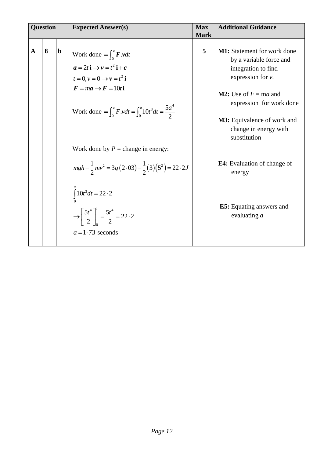| <b>Question</b> |   |             | <b>Expected Answer(s)</b>                                                                                                                                                                                                                                                                                                                                                                                                                                                                                          |                  | <b>Additional Guidance</b>                                                                                                                                                                                                                                                                                                                                   |
|-----------------|---|-------------|--------------------------------------------------------------------------------------------------------------------------------------------------------------------------------------------------------------------------------------------------------------------------------------------------------------------------------------------------------------------------------------------------------------------------------------------------------------------------------------------------------------------|------------------|--------------------------------------------------------------------------------------------------------------------------------------------------------------------------------------------------------------------------------------------------------------------------------------------------------------------------------------------------------------|
| A               | 8 | $\mathbf b$ | Work done = $\int_0^a$ <b>F</b> .vdt<br>$a = 2t i \rightarrow v = t^2 i + c$<br>$t=0, v=0 \rightarrow v=t^2$ i<br>$\mathbf{F} = m\mathbf{a} \rightarrow \mathbf{F} = 10t\,\mathbf{i}$<br>Work done = $\int_0^a F \cdot v dt = \int_0^a 10t^3 dt = \frac{5a^4}{2}$<br>Work done by $P =$ change in energy:<br>$mgh - \frac{1}{2}mv^2 = 3g(2.03) - \frac{1}{2}(3)(5^2) = 22.2J$<br>$\int_{0}^{1} 10t^3 dt = 22 \cdot 2$<br>$\rightarrow \left[\frac{5t^4}{2}\right]_0^T = \frac{5t^4}{2} = 22.2$<br>$a=1.73$ seconds | <b>Mark</b><br>5 | <b>M1:</b> Statement for work done<br>by a variable force and<br>integration to find<br>expression for $v$ .<br><b>M2:</b> Use of $F = ma$ and<br>expression for work done<br><b>M3:</b> Equivalence of work and<br>change in energy with<br>substitution<br><b>E4:</b> Evaluation of change of<br>energy<br><b>E5:</b> Equating answers and<br>evaluating a |
|                 |   |             |                                                                                                                                                                                                                                                                                                                                                                                                                                                                                                                    |                  |                                                                                                                                                                                                                                                                                                                                                              |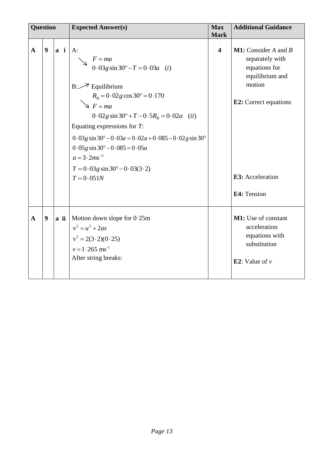| <b>Question</b> |                  |             | <b>Expected Answer(s)</b>                                                                                                                                                                                                                                                                                                                                                                                                                        | <b>Max</b><br><b>Mark</b> | <b>Additional Guidance</b>                                                                                                                                      |
|-----------------|------------------|-------------|--------------------------------------------------------------------------------------------------------------------------------------------------------------------------------------------------------------------------------------------------------------------------------------------------------------------------------------------------------------------------------------------------------------------------------------------------|---------------------------|-----------------------------------------------------------------------------------------------------------------------------------------------------------------|
| $\mathbf{A}$    | $\boldsymbol{9}$ | $a \quad i$ | $A$ :<br>$F = ma$<br>$0.03g \sin 30^\circ - T = 0.03a$ (i)<br>$B: \nearrow$ Equilibrium<br>$R_B = 0.02g\cos 30^\circ = 0.170$<br>$\searrow$ F = ma<br>$0.02g \sin 30^\circ + T - 0.5R_{R} = 0.02a$ (ii)<br>Equating expressions for $T$ :<br>$0.03g \sin 30^{\circ} - 0.03a = 0.02a + 0.085 - 0.02g \sin 30^{\circ}$<br>$0.05g \sin 30^\circ - 0.085 = 0.05a$<br>$a = 3 \cdot 2ms^{-2}$<br>$T = 0.03g \sin 30^{\circ} - 0.03(3.2)$<br>$T=0.051N$ | $\overline{\mathbf{4}}$   | <b>M1:</b> Consider A and B<br>separately with<br>equations for<br>equilibrium and<br>motion<br><b>E2:</b> Correct equations<br>E3: Acceleration<br>E4: Tension |
| $\mathbf{A}$    | 9                | a ii        | Motion down slope for $0.25m$<br>$v^2 = u^2 + 2as$<br>$v^2 = 2(3 \cdot 2)(0 \cdot 25)$<br>$v = 1.265$ ms <sup>-1</sup><br>After string breaks:                                                                                                                                                                                                                                                                                                   |                           | M1: Use of constant<br>acceleration<br>equations with<br>substitution<br><b>E2</b> : Value of $v$                                                               |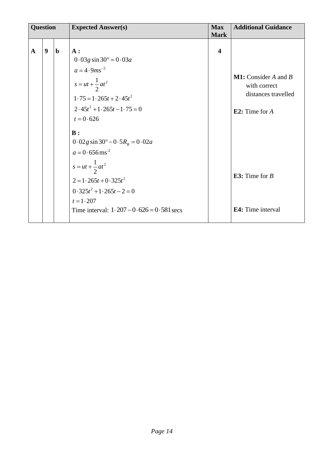| <b>Question</b> |                  |             | <b>Expected Answer(s)</b>                                                                                                                                                                                                                      | <b>Max</b><br><b>Mark</b> | <b>Additional Guidance</b>                                                                 |
|-----------------|------------------|-------------|------------------------------------------------------------------------------------------------------------------------------------------------------------------------------------------------------------------------------------------------|---------------------------|--------------------------------------------------------------------------------------------|
| $\mathbf{A}$    | $\boldsymbol{9}$ | $\mathbf b$ | A:<br>$0.03g \sin 30^\circ = 0.03a$<br>$a = 4.9$ ms <sup>-2</sup><br>$s = ut + \frac{1}{2}at^2$<br>$1.75 = 1.265t + 2.45t^2$<br>$2.45t^2+1.265t-1.75=0$<br>$t = 0.626$                                                                         | $\overline{\mathbf{4}}$   | <b>M1:</b> Consider $A$ and $B$<br>with correct<br>distances travelled<br>E2: Time for $A$ |
|                 |                  |             | $\mathbf{B}$ :<br>$0.02g \sin 30^\circ - 0.5R_B = 0.02a$<br>$a = 0.656$ ms <sup>-2</sup><br>$s = ut + \frac{1}{2}at^2$<br>$2 = 1.265t + 0.325t^2$<br>$0.325t^2 + 1.265t - 2 = 0$<br>$t = 1.207$<br>Time interval: $1.207 - 0.626 = 0.581$ secs |                           | E3: Time for $B$<br>E4: Time interval                                                      |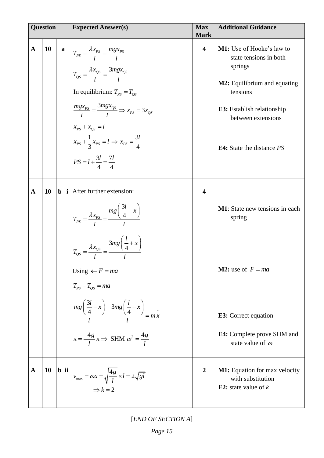| <b>Question</b> |    | <b>Expected Answer(s)</b>                                                                                                                                                                                                                                                                                                                                                                     | <b>Max</b><br><b>Mark</b> | <b>Additional Guidance</b>                                                                                                                                                                                              |  |
|-----------------|----|-----------------------------------------------------------------------------------------------------------------------------------------------------------------------------------------------------------------------------------------------------------------------------------------------------------------------------------------------------------------------------------------------|---------------------------|-------------------------------------------------------------------------------------------------------------------------------------------------------------------------------------------------------------------------|--|
| $\mathbf{A}$    | 10 | <b>a</b> $T_{PS} = \frac{\lambda x_{PS}}{l} = \frac{mgx_{PS}}{l}$<br>$T_{QS} = \frac{\lambda x_{QS}}{I} = \frac{3mgx_{QS}}{I}$<br>In equilibrium: $T_{PS} = T_{OS}$<br>$\frac{mgx_{PS}}{I} = \frac{3mgx_{QS}}{I} \Rightarrow x_{PS} = 3x_{QS}$<br>$x_{PS} + x_{QS} = l$<br>$x_{PS}$ + $\frac{1}{3}x_{PS}$ = $l \Rightarrow x_{PS}$ = $\frac{3l}{4}$<br>$PS = l + \frac{3l}{4} = \frac{7l}{4}$ | 4                         | <b>M1:</b> Use of Hooke's law to<br>state tensions in both<br>springs<br>M2: Equilibrium and equating<br>tensions<br><b>E3:</b> Establish relationship<br>between extensions<br><b>E4:</b> State the distance <i>PS</i> |  |
| $\mathbf A$     | 10 | $\mathbf b$ <b>i</b> After further extension:<br>$T_{PS} = \frac{\lambda x_{PS}}{I} = \frac{mg\left(\frac{3l}{4} - x\right)}{I}$<br>$T_{QS} = \frac{\lambda x_{QS}}{I} = \frac{3mg\left(\frac{l}{4} + x\right)}{I}$<br>Using $\leftarrow$ F = ma<br>$T_{PS} - T_{QS} = ma$                                                                                                                    | 4                         | <b>M1</b> : State new tensions in each<br>spring<br><b>M2:</b> use of $F = ma$                                                                                                                                          |  |
|                 |    | $\frac{mg\left(\frac{3l}{4}-x\right)}{l} - \frac{3mg\left(\frac{l}{4}+x\right)}{l} = mx$<br>$\int \frac{1}{x} = \frac{-4g}{l} x \Rightarrow$ SHM $\omega^2 = \frac{4g}{l}$                                                                                                                                                                                                                    |                           | <b>E3:</b> Correct equation<br><b>E4:</b> Complete prove SHM and<br>state value of $\omega$                                                                                                                             |  |
| $\mathbf{A}$    | 10 | <b>b</b> ii<br>$v_{\text{max}} = \omega a = \sqrt{\frac{4g}{l}} \times l = 2\sqrt{gl}$<br>$\Rightarrow k = 2$                                                                                                                                                                                                                                                                                 | $\overline{2}$            | <b>M1:</b> Equation for max velocity<br>with substitution<br><b>E2:</b> state value of $k$                                                                                                                              |  |

[*END OF SECTION A*]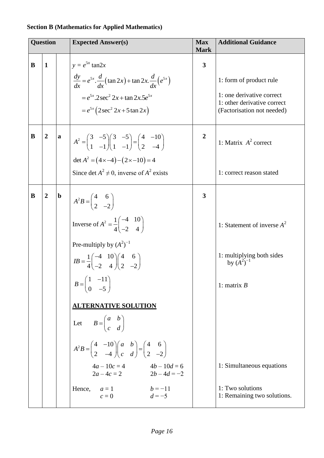### **Section B (Mathematics for Applied Mathematics)**

| <b>Question</b> |              |  | <b>Expected Answer(s)</b>                                                                                                                                                                                   | <b>Max</b><br><b>Mark</b> | <b>Additional Guidance</b>                                                             |
|-----------------|--------------|--|-------------------------------------------------------------------------------------------------------------------------------------------------------------------------------------------------------------|---------------------------|----------------------------------------------------------------------------------------|
| B               | $\mathbf{1}$ |  | $y = e^{5x} \tan 2x$                                                                                                                                                                                        | $\overline{\mathbf{3}}$   |                                                                                        |
|                 |              |  | $\frac{dy}{dx} = e^{5x} \cdot \frac{d}{dx} (\tan 2x) + \tan 2x \cdot \frac{d}{dx} (e^{5x})$                                                                                                                 |                           | 1: form of product rule                                                                |
|                 |              |  | $=e^{5x}$ .2 sec <sup>2</sup> 2x + tan 2x.5 $e^{5x}$<br>$= e^{5x} (2 \sec^2 2x + 5 \tan 2x)$                                                                                                                |                           | 1: one derivative correct<br>1: other derivative correct<br>(Factorisation not needed) |
| B               |              |  | $A^{2} = \begin{pmatrix} 3 & -5 \\ 1 & -1 \end{pmatrix} \begin{pmatrix} 3 & -5 \\ 1 & -1 \end{pmatrix} = \begin{pmatrix} 4 & -10 \\ 2 & -4 \end{pmatrix}$<br>det $A^2 = (4 \times -4) - (2 \times -10) = 4$ | $\boldsymbol{2}$          | 1: Matrix $A^2$ correct                                                                |
|                 |              |  | Since det $A^2 \neq 0$ , inverse of $A^2$ exists                                                                                                                                                            |                           | 1: correct reason stated                                                               |
| B               |              |  | $A^2B = \begin{pmatrix} 4 & 6 \\ 2 & -2 \end{pmatrix}$                                                                                                                                                      | 3                         |                                                                                        |
|                 |              |  | Inverse of $A^2 = \frac{1}{4} \begin{pmatrix} -4 & 10 \\ -2 & 4 \end{pmatrix}$                                                                                                                              |                           | 1: Statement of inverse $A^2$                                                          |
|                 |              |  | Pre-multiply by $(A^2)^{-1}$                                                                                                                                                                                |                           |                                                                                        |
|                 |              |  | $IB = \frac{1}{4} \begin{pmatrix} -4 & 10 \\ -2 & 4 \end{pmatrix} \begin{pmatrix} 4 & 6 \\ 2 & -2 \end{pmatrix}$                                                                                            |                           | 1: multiplying both sides<br>by $(A^2)^{-1}$                                           |
|                 |              |  | $B = \begin{pmatrix} 1 & -11 \\ 0 & -5 \end{pmatrix}$                                                                                                                                                       |                           | 1: matrix $B$                                                                          |
|                 |              |  | <b>ALTERNATIVE SOLUTION</b>                                                                                                                                                                                 |                           |                                                                                        |
|                 |              |  | Let $B = \begin{pmatrix} a & b \\ c & d \end{pmatrix}$                                                                                                                                                      |                           |                                                                                        |
|                 |              |  | $A^2B = \begin{pmatrix} 4 & -10 \\ 2 & -4 \end{pmatrix} \begin{pmatrix} a & b \\ c & d \end{pmatrix} = \begin{pmatrix} 4 & 6 \\ 2 & -2 \end{pmatrix}$                                                       |                           |                                                                                        |
|                 |              |  | $4a - 10c = 4$ $4b - 10d = 6$<br>$2a-4c=2$ $2b-4d=-2$                                                                                                                                                       |                           | 1: Simultaneous equations                                                              |
|                 |              |  | $b = -11$<br>Hence,<br>$a=1$<br>$d = -5$<br>$c=0$                                                                                                                                                           |                           | 1: Two solutions<br>1: Remaining two solutions.                                        |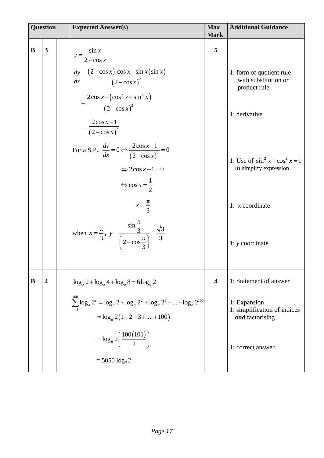| <b>Question</b> |                         | <b>Expected Answer(s)</b>                                                                                                                                                                                                                                                                                                                                                                                                                                                                                                                                 | <b>Max</b><br><b>Mark</b> | <b>Additional Guidance</b>                                                                                                                                                                   |
|-----------------|-------------------------|-----------------------------------------------------------------------------------------------------------------------------------------------------------------------------------------------------------------------------------------------------------------------------------------------------------------------------------------------------------------------------------------------------------------------------------------------------------------------------------------------------------------------------------------------------------|---------------------------|----------------------------------------------------------------------------------------------------------------------------------------------------------------------------------------------|
| B               | $\overline{\mathbf{3}}$ | $y = \frac{\sin x}{2 - \cos x}$<br>$\frac{dy}{dx} = \frac{(2-\cos x)\cdot \cos x - \sin x(\sin x)}{(2-\cos x)^2}$<br>$=\frac{2\cos x-\left(\cos^2 x+\sin^2 x\right)}{\left(2-\cos x\right)^2}$<br>$=\frac{2\cos x-1}{(2-\cos x)^2}$<br>For a S.P., $\frac{dy}{dx} = 0 \Leftrightarrow \frac{2\cos x - 1}{(2 - \cos x)^2} = 0$<br>$\Leftrightarrow 2\cos x - 1 = 0$<br>$\Leftrightarrow \cos x = \frac{1}{2}$<br>$x=\frac{\pi}{3}$<br>when $x = \frac{\pi}{3}$ , $y = \frac{\sin \frac{\pi}{3}}{\left(2 - \cos \frac{\pi}{3}\right)} = \frac{\sqrt{3}}{3}$ | 5                         | 1: form of quotient rule<br>with substitution or<br>product rule<br>1: derivative<br>1: Use of $\sin^2 x + \cos^2 x = 1$<br>to simplify expression<br>1: $x$ coordinate<br>$1: y$ coordinate |
| B               | $\overline{\mathbf{4}}$ | $\log_a 2 + \log_a 4 + \log_a 8 = 6 \log_a 2$<br>$\sum \log_a 2^r = \log_a 2 + \log_a 2^2 + \log_a 2^3 +  + \log_a 2^{100}$<br>$=\log_a 2(1+2+3++100)$<br>$=\log_a 2\left(\frac{100(101)}{2}\right)$<br>$= 5050 \log_a 2$                                                                                                                                                                                                                                                                                                                                 | 4                         | 1: Statement of answer<br>1: Expansion<br>1: simplification of indices<br>and factorising<br>1: correct answer                                                                               |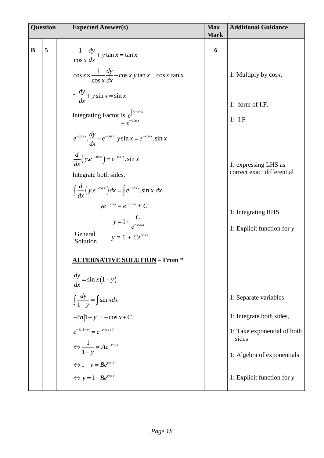| <b>Question</b> |   | <b>Expected Answer(s)</b>                                                                                                                                      | <b>Max</b><br><b>Mark</b> | <b>Additional Guidance</b>                         |
|-----------------|---|----------------------------------------------------------------------------------------------------------------------------------------------------------------|---------------------------|----------------------------------------------------|
| B               | 5 | $\frac{1}{\cos x} \frac{dy}{dx} + y \tan x = \tan x$                                                                                                           | 6                         |                                                    |
|                 |   | $\cos x \times \frac{1}{\cos x} \frac{dy}{dx} + \cos x \cdot y \tan x = \cos x \cdot \tan x$<br>* $\frac{dy}{dx}$ + y sin x = sin x                            |                           | 1: Multiply by cosx,<br>1: form of I.F.            |
|                 |   | Integrating Factor is $e^{\int \sin x dx}$<br>$= e^{-\cos x}$                                                                                                  |                           | $1:$ I.F                                           |
|                 |   | $e^{-\cos x} \cdot \frac{dy}{dx} + e^{-\cos x} \cdot y \sin x = e^{-\cos x} \cdot \sin x$<br>$\frac{d}{dx}\left(y.e^{-\cos x}\right) = e^{-\cos x}\cdot\sin x$ |                           | 1: expressing LHS as                               |
|                 |   | Integrate both sides,<br>$\int \frac{d}{dx} \left( y.e^{-\cos x} \right) dx = \int e^{-\cos x} . \sin x \ dx$                                                  |                           | correct exact differential                         |
|                 |   | $ye^{-\cos x} = e^{-\cos x} + C$<br>$y = 1 + \frac{C}{e^{-\cos x}}$                                                                                            |                           | 1: Integrating RHS<br>1: Explicit function for $y$ |
|                 |   | General<br>$y = 1 + Ce^{\cos x}$<br>Solution<br><b>ALTERNATIVE SOLUTION - From *</b>                                                                           |                           |                                                    |
|                 |   | $\frac{dy}{dx} = \sin x (1 - y)$                                                                                                                               |                           |                                                    |
|                 |   | $\int \frac{dy}{1-y} = \int \sin x dx$                                                                                                                         |                           | 1: Separate variables<br>1: Integrate both sides,  |
|                 |   | $-\ln 1-y  = -\cos x + C$<br>$e^{-\ell n 1-y } = e^{-\cos x+C}$                                                                                                |                           | 1: Take exponential of both<br>sides               |
|                 |   | $\Leftrightarrow \frac{1}{1-y} = Ae^{-\cos x}$<br>$\Leftrightarrow 1 - y = Be^{\cos x}$<br>$\Leftrightarrow y = 1 - Be^{\cos x}$                               |                           | 1: Algebra of exponentials                         |
|                 |   |                                                                                                                                                                |                           | 1: Explicit function for y                         |